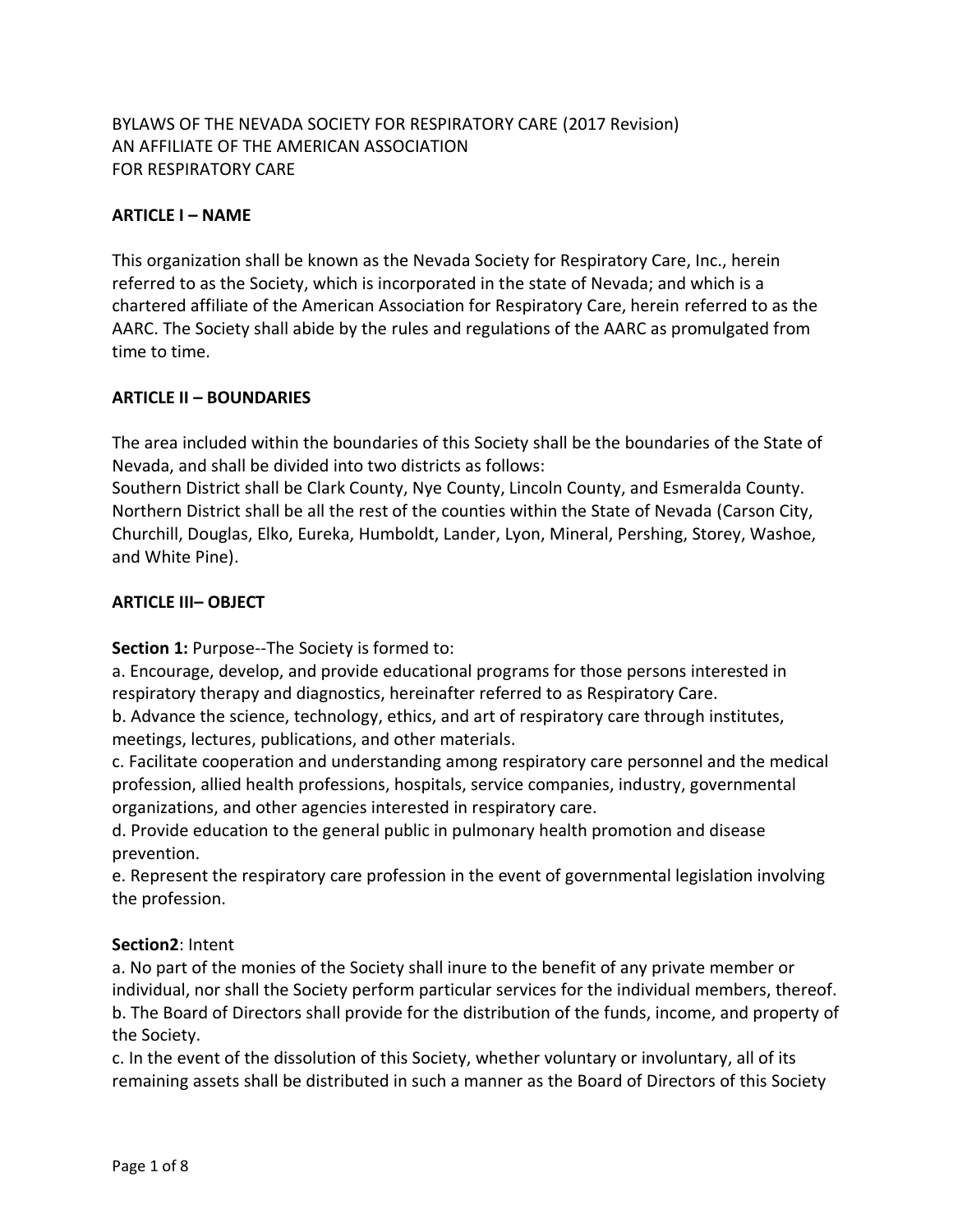# BYLAWS OF THE NEVADA SOCIETY FOR RESPIRATORY CARE (2017 Revision) AN AFFILIATE OF THE AMERICAN ASSOCIATION FOR RESPIRATORY CARE

## **ARTICLE I – NAME**

This organization shall be known as the Nevada Society for Respiratory Care, Inc., herein referred to as the Society, which is incorporated in the state of Nevada; and which is a chartered affiliate of the American Association for Respiratory Care, herein referred to as the AARC. The Society shall abide by the rules and regulations of the AARC as promulgated from time to time.

## **ARTICLE II – BOUNDARIES**

The area included within the boundaries of this Society shall be the boundaries of the State of Nevada, and shall be divided into two districts as follows:

Southern District shall be Clark County, Nye County, Lincoln County, and Esmeralda County. Northern District shall be all the rest of the counties within the State of Nevada (Carson City, Churchill, Douglas, Elko, Eureka, Humboldt, Lander, Lyon, Mineral, Pershing, Storey, Washoe, and White Pine).

### **ARTICLE III– OBJECT**

**Section 1:** Purpose--The Society is formed to:

a. Encourage, develop, and provide educational programs for those persons interested in respiratory therapy and diagnostics, hereinafter referred to as Respiratory Care.

b. Advance the science, technology, ethics, and art of respiratory care through institutes, meetings, lectures, publications, and other materials.

c. Facilitate cooperation and understanding among respiratory care personnel and the medical profession, allied health professions, hospitals, service companies, industry, governmental organizations, and other agencies interested in respiratory care.

d. Provide education to the general public in pulmonary health promotion and disease prevention.

e. Represent the respiratory care profession in the event of governmental legislation involving the profession.

### **Section2**: Intent

a. No part of the monies of the Society shall inure to the benefit of any private member or individual, nor shall the Society perform particular services for the individual members, thereof. b. The Board of Directors shall provide for the distribution of the funds, income, and property of the Society.

c. In the event of the dissolution of this Society, whether voluntary or involuntary, all of its remaining assets shall be distributed in such a manner as the Board of Directors of this Society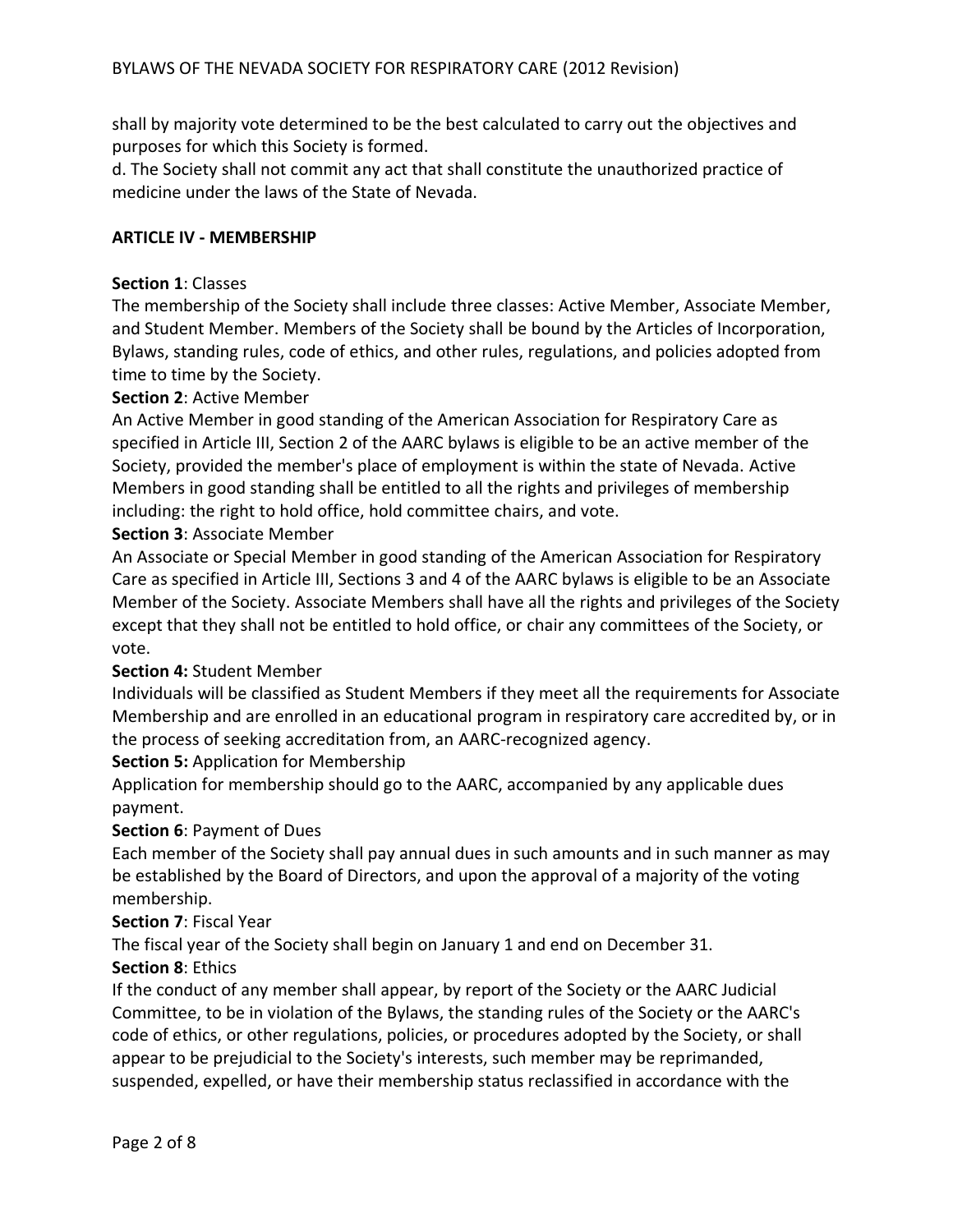shall by majority vote determined to be the best calculated to carry out the objectives and purposes for which this Society is formed.

d. The Society shall not commit any act that shall constitute the unauthorized practice of medicine under the laws of the State of Nevada.

#### **ARTICLE IV - MEMBERSHIP**

#### **Section 1**: Classes

The membership of the Society shall include three classes: Active Member, Associate Member, and Student Member. Members of the Society shall be bound by the Articles of Incorporation, Bylaws, standing rules, code of ethics, and other rules, regulations, and policies adopted from time to time by the Society.

### **Section 2**: Active Member

An Active Member in good standing of the American Association for Respiratory Care as specified in Article III, Section 2 of the AARC bylaws is eligible to be an active member of the Society, provided the member's place of employment is within the state of Nevada. Active Members in good standing shall be entitled to all the rights and privileges of membership including: the right to hold office, hold committee chairs, and vote.

#### **Section 3**: Associate Member

An Associate or Special Member in good standing of the American Association for Respiratory Care as specified in Article III, Sections 3 and 4 of the AARC bylaws is eligible to be an Associate Member of the Society. Associate Members shall have all the rights and privileges of the Society except that they shall not be entitled to hold office, or chair any committees of the Society, or vote.

### **Section 4:** Student Member

Individuals will be classified as Student Members if they meet all the requirements for Associate Membership and are enrolled in an educational program in respiratory care accredited by, or in the process of seeking accreditation from, an AARC-recognized agency.

### **Section 5:** Application for Membership

Application for membership should go to the AARC, accompanied by any applicable dues payment.

### **Section 6**: Payment of Dues

Each member of the Society shall pay annual dues in such amounts and in such manner as may be established by the Board of Directors, and upon the approval of a majority of the voting membership.

### **Section 7**: Fiscal Year

The fiscal year of the Society shall begin on January 1 and end on December 31.

## **Section 8**: Ethics

If the conduct of any member shall appear, by report of the Society or the AARC Judicial Committee, to be in violation of the Bylaws, the standing rules of the Society or the AARC's code of ethics, or other regulations, policies, or procedures adopted by the Society, or shall appear to be prejudicial to the Society's interests, such member may be reprimanded, suspended, expelled, or have their membership status reclassified in accordance with the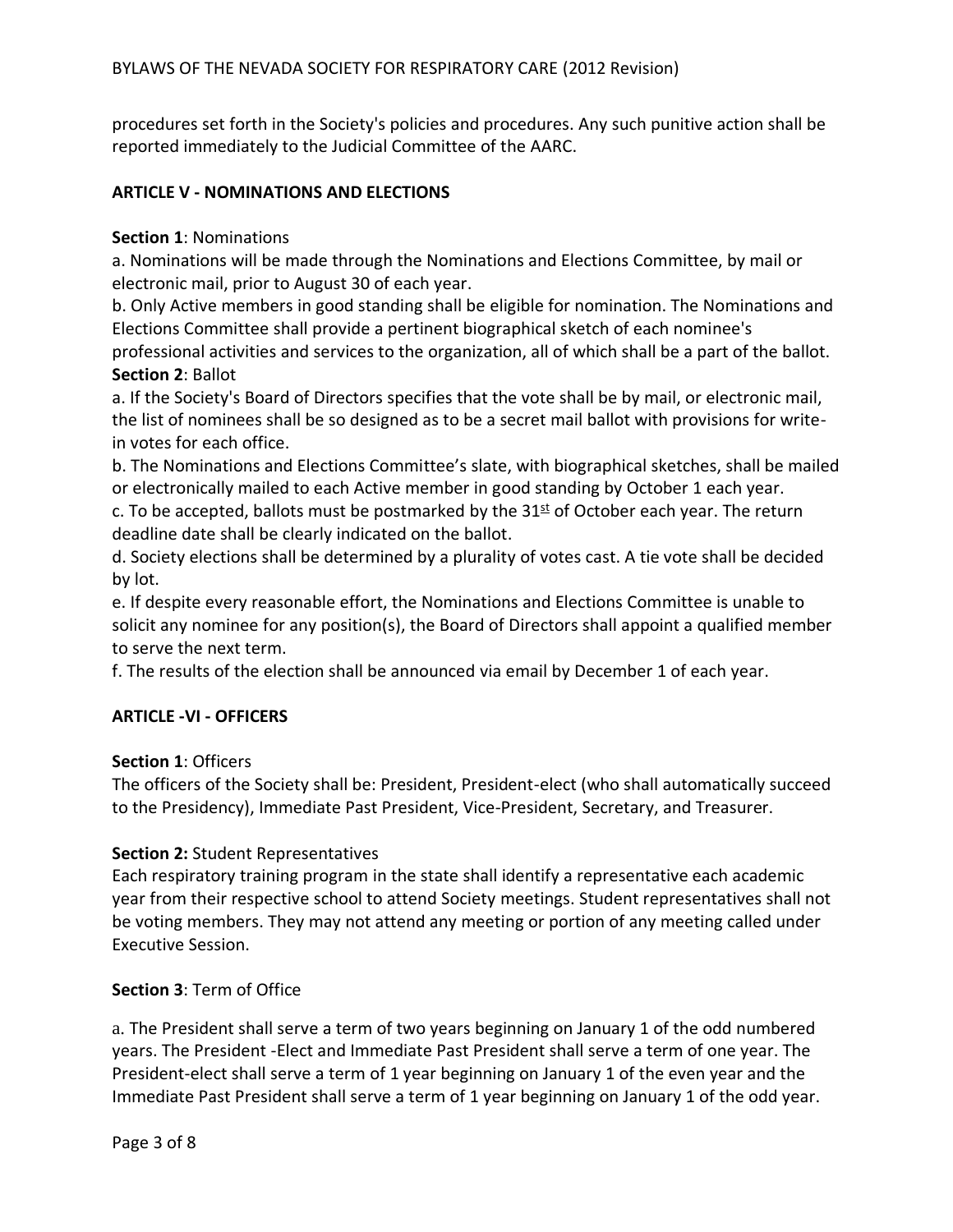procedures set forth in the Society's policies and procedures. Any such punitive action shall be reported immediately to the Judicial Committee of the AARC.

## **ARTICLE V - NOMINATIONS AND ELECTIONS**

#### **Section 1**: Nominations

a. Nominations will be made through the Nominations and Elections Committee, by mail or electronic mail, prior to August 30 of each year.

b. Only Active members in good standing shall be eligible for nomination. The Nominations and Elections Committee shall provide a pertinent biographical sketch of each nominee's professional activities and services to the organization, all of which shall be a part of the ballot. **Section 2**: Ballot

a. If the Society's Board of Directors specifies that the vote shall be by mail, or electronic mail, the list of nominees shall be so designed as to be a secret mail ballot with provisions for writein votes for each office.

b. The Nominations and Elections Committee's slate, with biographical sketches, shall be mailed or electronically mailed to each Active member in good standing by October 1 each year.

c. To be accepted, ballots must be postmarked by the  $31<sup>st</sup>$  of October each year. The return deadline date shall be clearly indicated on the ballot.

d. Society elections shall be determined by a plurality of votes cast. A tie vote shall be decided by lot.

e. If despite every reasonable effort, the Nominations and Elections Committee is unable to solicit any nominee for any position(s), the Board of Directors shall appoint a qualified member to serve the next term.

f. The results of the election shall be announced via email by December 1 of each year.

### **ARTICLE -VI - OFFICERS**

### **Section 1**: Officers

The officers of the Society shall be: President, President-elect (who shall automatically succeed to the Presidency), Immediate Past President, Vice-President, Secretary, and Treasurer.

### **Section 2:** Student Representatives

Each respiratory training program in the state shall identify a representative each academic year from their respective school to attend Society meetings. Student representatives shall not be voting members. They may not attend any meeting or portion of any meeting called under Executive Session.

### **Section 3**: Term of Office

a. The President shall serve a term of two years beginning on January 1 of the odd numbered years. The President -Elect and Immediate Past President shall serve a term of one year. The President-elect shall serve a term of 1 year beginning on January 1 of the even year and the Immediate Past President shall serve a term of 1 year beginning on January 1 of the odd year.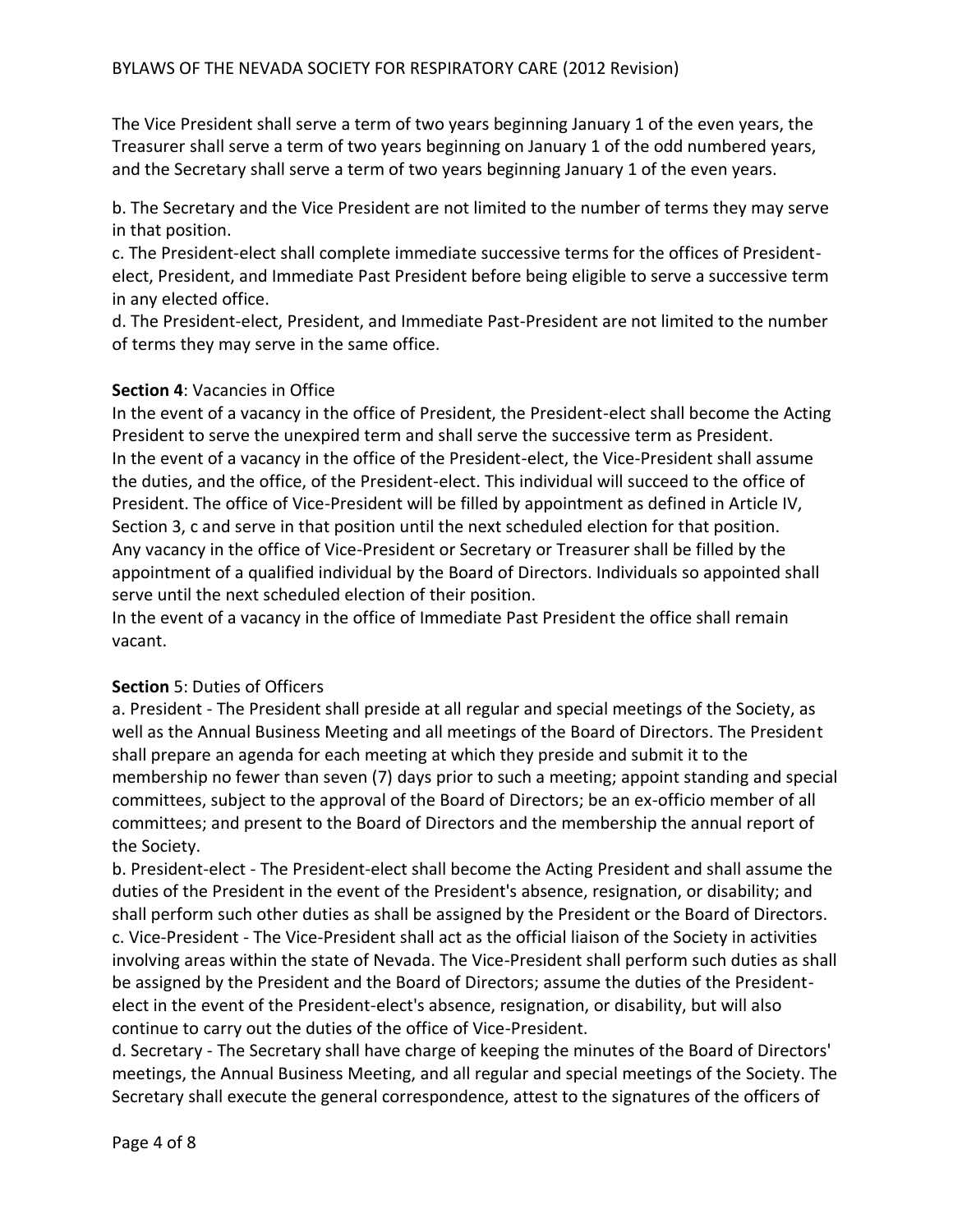The Vice President shall serve a term of two years beginning January 1 of the even years, the Treasurer shall serve a term of two years beginning on January 1 of the odd numbered years, and the Secretary shall serve a term of two years beginning January 1 of the even years.

b. The Secretary and the Vice President are not limited to the number of terms they may serve in that position.

c. The President-elect shall complete immediate successive terms for the offices of Presidentelect, President, and Immediate Past President before being eligible to serve a successive term in any elected office.

d. The President-elect, President, and Immediate Past-President are not limited to the number of terms they may serve in the same office.

## **Section 4**: Vacancies in Office

In the event of a vacancy in the office of President, the President-elect shall become the Acting President to serve the unexpired term and shall serve the successive term as President. In the event of a vacancy in the office of the President-elect, the Vice-President shall assume the duties, and the office, of the President-elect. This individual will succeed to the office of President. The office of Vice-President will be filled by appointment as defined in Article IV, Section 3, c and serve in that position until the next scheduled election for that position. Any vacancy in the office of Vice-President or Secretary or Treasurer shall be filled by the appointment of a qualified individual by the Board of Directors. Individuals so appointed shall serve until the next scheduled election of their position.

In the event of a vacancy in the office of Immediate Past President the office shall remain vacant.

## **Section** 5: Duties of Officers

a. President - The President shall preside at all regular and special meetings of the Society, as well as the Annual Business Meeting and all meetings of the Board of Directors. The President shall prepare an agenda for each meeting at which they preside and submit it to the membership no fewer than seven (7) days prior to such a meeting; appoint standing and special committees, subject to the approval of the Board of Directors; be an ex-officio member of all committees; and present to the Board of Directors and the membership the annual report of the Society.

b. President-elect - The President-elect shall become the Acting President and shall assume the duties of the President in the event of the President's absence, resignation, or disability; and shall perform such other duties as shall be assigned by the President or the Board of Directors. c. Vice-President - The Vice-President shall act as the official liaison of the Society in activities involving areas within the state of Nevada. The Vice-President shall perform such duties as shall be assigned by the President and the Board of Directors; assume the duties of the Presidentelect in the event of the President-elect's absence, resignation, or disability, but will also continue to carry out the duties of the office of Vice-President.

d. Secretary - The Secretary shall have charge of keeping the minutes of the Board of Directors' meetings, the Annual Business Meeting, and all regular and special meetings of the Society. The Secretary shall execute the general correspondence, attest to the signatures of the officers of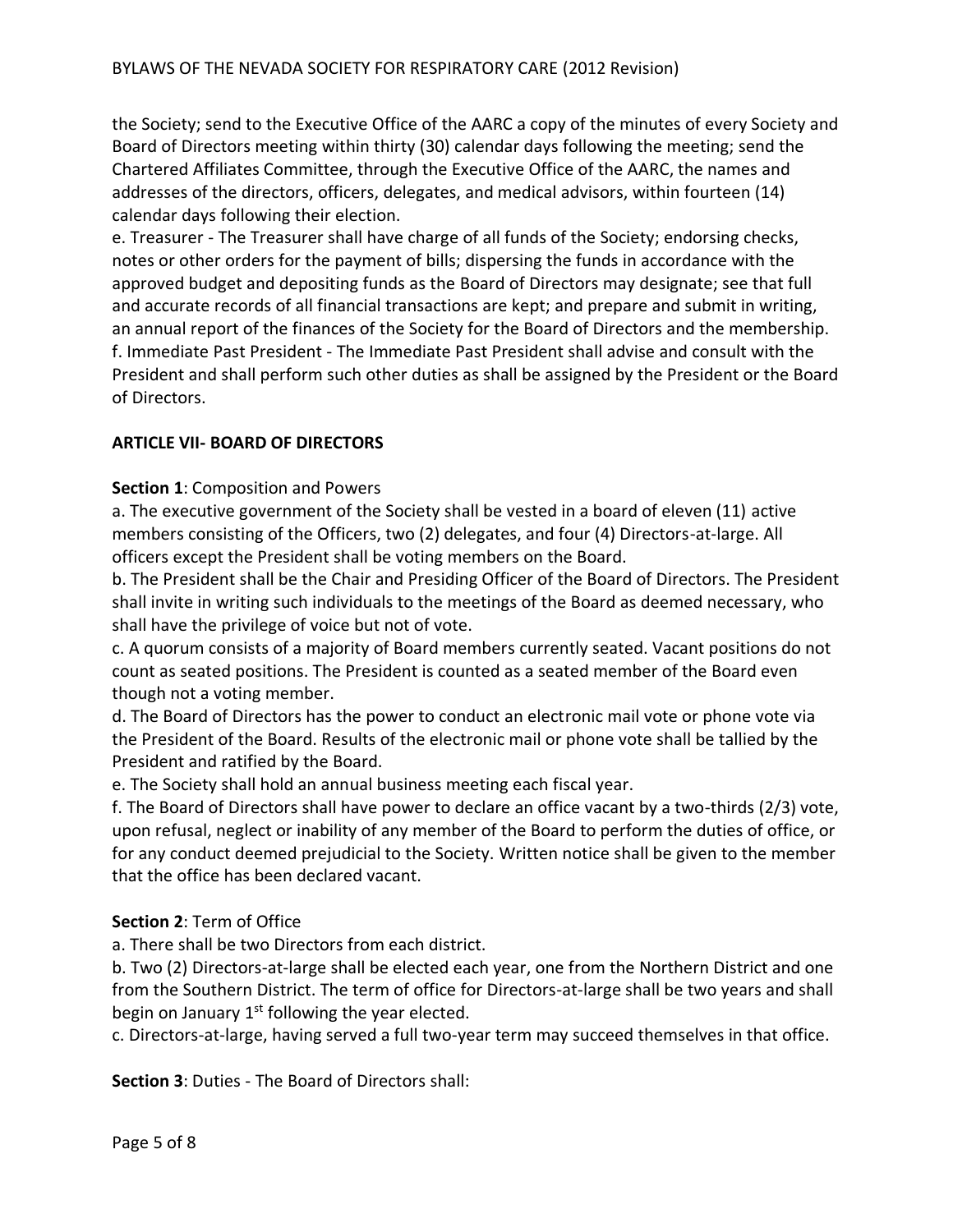the Society; send to the Executive Office of the AARC a copy of the minutes of every Society and Board of Directors meeting within thirty (30) calendar days following the meeting; send the Chartered Affiliates Committee, through the Executive Office of the AARC, the names and addresses of the directors, officers, delegates, and medical advisors, within fourteen (14) calendar days following their election.

e. Treasurer - The Treasurer shall have charge of all funds of the Society; endorsing checks, notes or other orders for the payment of bills; dispersing the funds in accordance with the approved budget and depositing funds as the Board of Directors may designate; see that full and accurate records of all financial transactions are kept; and prepare and submit in writing, an annual report of the finances of the Society for the Board of Directors and the membership. f. Immediate Past President - The Immediate Past President shall advise and consult with the President and shall perform such other duties as shall be assigned by the President or the Board of Directors.

## **ARTICLE VII- BOARD OF DIRECTORS**

### **Section 1**: Composition and Powers

a. The executive government of the Society shall be vested in a board of eleven (11) active members consisting of the Officers, two (2) delegates, and four (4) Directors-at-large. All officers except the President shall be voting members on the Board.

b. The President shall be the Chair and Presiding Officer of the Board of Directors. The President shall invite in writing such individuals to the meetings of the Board as deemed necessary, who shall have the privilege of voice but not of vote.

c. A quorum consists of a majority of Board members currently seated. Vacant positions do not count as seated positions. The President is counted as a seated member of the Board even though not a voting member.

d. The Board of Directors has the power to conduct an electronic mail vote or phone vote via the President of the Board. Results of the electronic mail or phone vote shall be tallied by the President and ratified by the Board.

e. The Society shall hold an annual business meeting each fiscal year.

f. The Board of Directors shall have power to declare an office vacant by a two-thirds (2/3) vote, upon refusal, neglect or inability of any member of the Board to perform the duties of office, or for any conduct deemed prejudicial to the Society. Written notice shall be given to the member that the office has been declared vacant.

### **Section 2**: Term of Office

a. There shall be two Directors from each district.

b. Two (2) Directors-at-large shall be elected each year, one from the Northern District and one from the Southern District. The term of office for Directors-at-large shall be two years and shall begin on January  $1<sup>st</sup>$  following the year elected.

c. Directors-at-large, having served a full two-year term may succeed themselves in that office.

**Section 3**: Duties - The Board of Directors shall: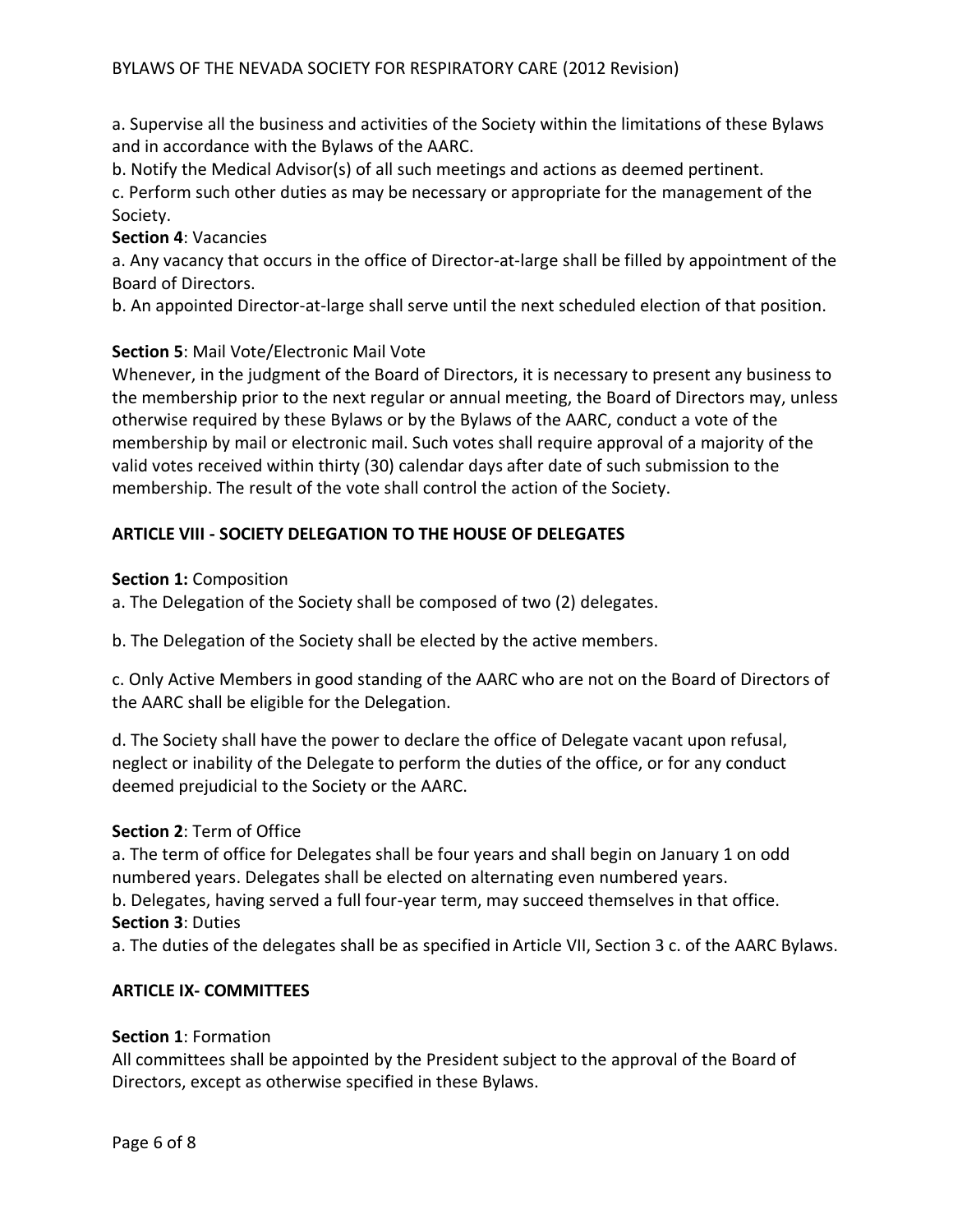a. Supervise all the business and activities of the Society within the limitations of these Bylaws and in accordance with the Bylaws of the AARC.

b. Notify the Medical Advisor(s) of all such meetings and actions as deemed pertinent.

c. Perform such other duties as may be necessary or appropriate for the management of the Society.

## **Section 4**: Vacancies

a. Any vacancy that occurs in the office of Director-at-large shall be filled by appointment of the Board of Directors.

b. An appointed Director-at-large shall serve until the next scheduled election of that position.

## **Section 5**: Mail Vote/Electronic Mail Vote

Whenever, in the judgment of the Board of Directors, it is necessary to present any business to the membership prior to the next regular or annual meeting, the Board of Directors may, unless otherwise required by these Bylaws or by the Bylaws of the AARC, conduct a vote of the membership by mail or electronic mail. Such votes shall require approval of a majority of the valid votes received within thirty (30) calendar days after date of such submission to the membership. The result of the vote shall control the action of the Society.

# **ARTICLE VIII - SOCIETY DELEGATION TO THE HOUSE OF DELEGATES**

**Section 1:** Composition

a. The Delegation of the Society shall be composed of two (2) delegates.

b. The Delegation of the Society shall be elected by the active members.

c. Only Active Members in good standing of the AARC who are not on the Board of Directors of the AARC shall be eligible for the Delegation.

d. The Society shall have the power to declare the office of Delegate vacant upon refusal, neglect or inability of the Delegate to perform the duties of the office, or for any conduct deemed prejudicial to the Society or the AARC.

## **Section 2**: Term of Office

a. The term of office for Delegates shall be four years and shall begin on January 1 on odd numbered years. Delegates shall be elected on alternating even numbered years.

b. Delegates, having served a full four-year term, may succeed themselves in that office. **Section 3**: Duties

a. The duties of the delegates shall be as specified in Article VII, Section 3 c. of the AARC Bylaws.

## **ARTICLE IX- COMMITTEES**

### **Section 1**: Formation

All committees shall be appointed by the President subject to the approval of the Board of Directors, except as otherwise specified in these Bylaws.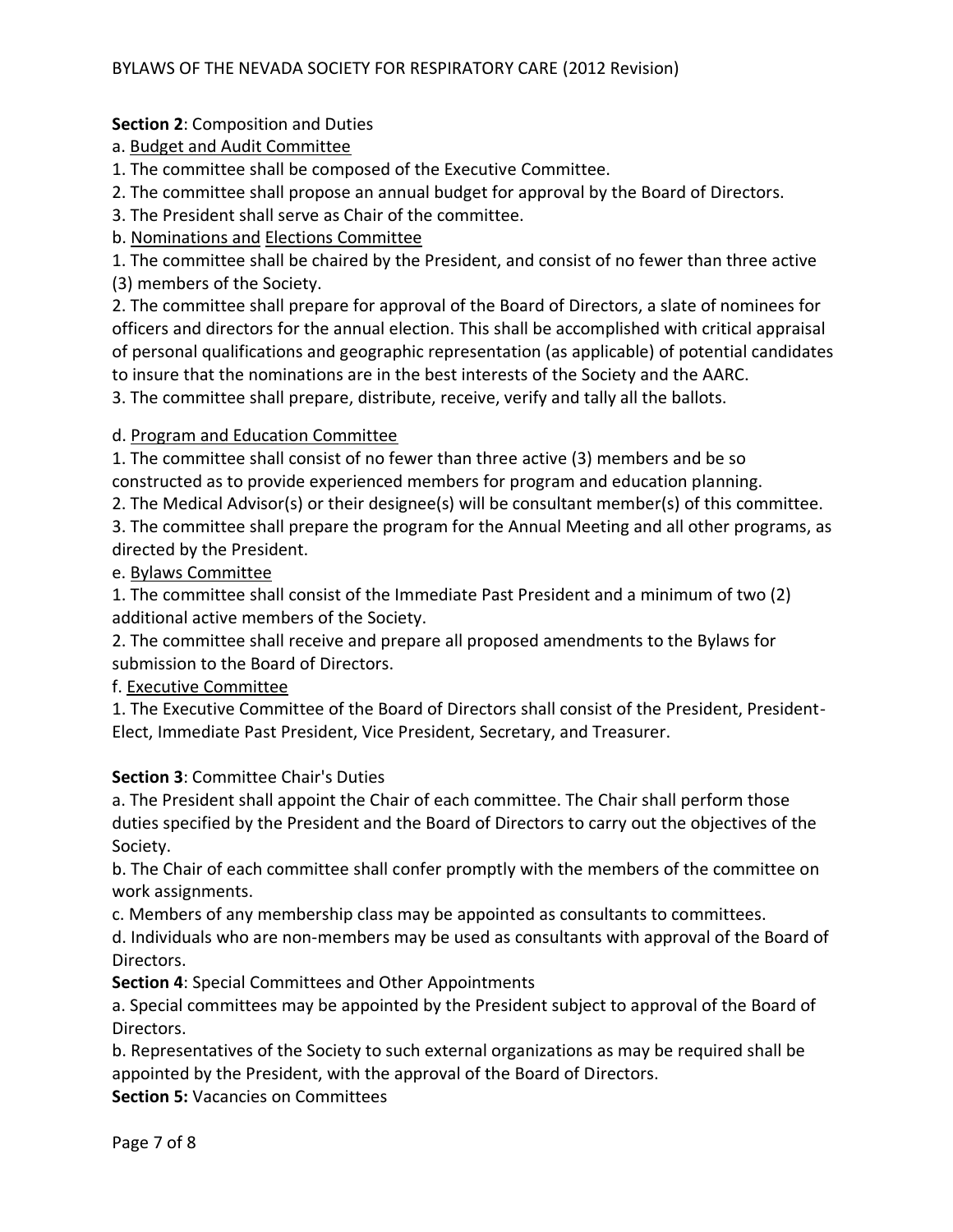# **Section 2**: Composition and Duties

# a. Budget and Audit Committee

1. The committee shall be composed of the Executive Committee.

2. The committee shall propose an annual budget for approval by the Board of Directors.

3. The President shall serve as Chair of the committee.

b. Nominations and Elections Committee

1. The committee shall be chaired by the President, and consist of no fewer than three active (3) members of the Society.

2. The committee shall prepare for approval of the Board of Directors, a slate of nominees for officers and directors for the annual election. This shall be accomplished with critical appraisal of personal qualifications and geographic representation (as applicable) of potential candidates to insure that the nominations are in the best interests of the Society and the AARC.

3. The committee shall prepare, distribute, receive, verify and tally all the ballots.

# d. Program and Education Committee

1. The committee shall consist of no fewer than three active (3) members and be so constructed as to provide experienced members for program and education planning.

2. The Medical Advisor(s) or their designee(s) will be consultant member(s) of this committee.

3. The committee shall prepare the program for the Annual Meeting and all other programs, as directed by the President.

e. Bylaws Committee

1. The committee shall consist of the Immediate Past President and a minimum of two (2) additional active members of the Society.

2. The committee shall receive and prepare all proposed amendments to the Bylaws for submission to the Board of Directors.

f. Executive Committee

1. The Executive Committee of the Board of Directors shall consist of the President, President-Elect, Immediate Past President, Vice President, Secretary, and Treasurer.

## **Section 3**: Committee Chair's Duties

a. The President shall appoint the Chair of each committee. The Chair shall perform those duties specified by the President and the Board of Directors to carry out the objectives of the Society.

b. The Chair of each committee shall confer promptly with the members of the committee on work assignments.

c. Members of any membership class may be appointed as consultants to committees.

d. Individuals who are non-members may be used as consultants with approval of the Board of Directors.

**Section 4**: Special Committees and Other Appointments

a. Special committees may be appointed by the President subject to approval of the Board of Directors.

b. Representatives of the Society to such external organizations as may be required shall be appointed by the President, with the approval of the Board of Directors.

**Section 5:** Vacancies on Committees